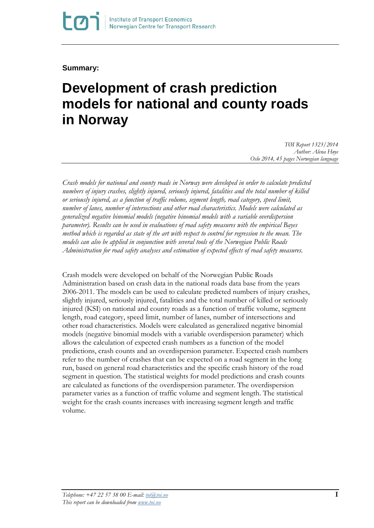**Summary:**

## **Development of crash prediction models for national and county roads in Norway**

*TØI Report 1323/2014 Author: Alena Høye Oslo 2014, 45 pages Norwegian language*

*Crash models for national and county roads in Norway were developed in order to calculate predicted numbers of injury crashes, slightly injured, seriously injured, fatalities and the total number of killed or seriously injured, as a function of traffic volume, segment length, road category, speed limit, number of lanes, number of intersections and other road characteristics. Models were calculated as generalized negative binomial models (negative binomial models with a variable overdispersion parameter). Results can be used in evaluations of road safety measures with the empirical Bayes method which is regarded as state of the art with respect to control for regression to the mean. The models can also be applied in conjunction with several tools of the Norwegian Public Roads Administration for road safety analyses and estimation of expected effects of road safety measures.*

Crash models were developed on behalf of the Norwegian Public Roads Administration based on crash data in the national roads data base from the years 2006-2011. The models can be used to calculate predicted numbers of injury crashes, slightly injured, seriously injured, fatalities and the total number of killed or seriously injured (KSI) on national and county roads as a function of traffic volume, segment length, road category, speed limit, number of lanes, number of intersections and other road characteristics. Models were calculated as generalized negative binomial models (negative binomial models with a variable overdispersion parameter) which allows the calculation of expected crash numbers as a function of the model predictions, crash counts and an overdispersion parameter. Expected crash numbers refer to the number of crashes that can be expected on a road segment in the long run, based on general road characteristics and the specific crash history of the road segment in question. The statistical weights for model predictions and crash counts are calculated as functions of the overdispersion parameter. The overdispersion parameter varies as a function of traffic volume and segment length. The statistical weight for the crash counts increases with increasing segment length and traffic volume.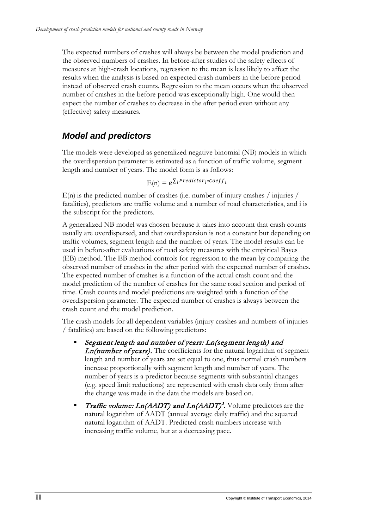The expected numbers of crashes will always be between the model prediction and the observed numbers of crashes. In before-after studies of the safety effects of measures at high-crash locations, regression to the mean is less likely to affect the results when the analysis is based on expected crash numbers in the before period instead of observed crash counts. Regression to the mean occurs when the observed number of crashes in the before period was exceptionally high. One would then expect the number of crashes to decrease in the after period even without any (effective) safety measures.

## *Model and predictors*

The models were developed as generalized negative binomial (NB) models in which the overdispersion parameter is estimated as a function of traffic volume, segment length and number of years. The model form is as follows:

$$
E(n) = e^{\sum_i \text{Predictor}_i * \text{Coeff}_i}
$$

 $E(n)$  is the predicted number of crashes (i.e. number of injury crashes / injuries / fatalities), predictors are traffic volume and a number of road characteristics, and i is the subscript for the predictors.

A generalized NB model was chosen because it takes into account that crash counts usually are overdispersed, and that overdispersion is not a constant but depending on traffic volumes, segment length and the number of years. The model results can be used in before-after evaluations of road safety measures with the empirical Bayes (EB) method. The EB method controls for regression to the mean by comparing the observed number of crashes in the after period with the expected number of crashes. The expected number of crashes is a function of the actual crash count and the model prediction of the number of crashes for the same road section and period of time. Crash counts and model predictions are weighted with a function of the overdispersion parameter. The expected number of crashes is always between the crash count and the model prediction.

The crash models for all dependent variables (injury crashes and numbers of injuries / fatalities) are based on the following predictors:

- Segment length and number of years: Ln(segment length) and  $Ln(number of years)$ . The coefficients for the natural logarithm of segment length and number of years are set equal to one, thus normal crash numbers increase proportionally with segment length and number of years. The number of years is a predictor because segments with substantial changes (e.g. speed limit reductions) are represented with crash data only from after the change was made in the data the models are based on.
- Traffic volume:  $Ln(AADT)$  and  $Ln(AADT)^2$ . Volume predictors are the natural logarithm of AADT (annual average daily traffic) and the squared natural logarithm of AADT. Predicted crash numbers increase with increasing traffic volume, but at a decreasing pace.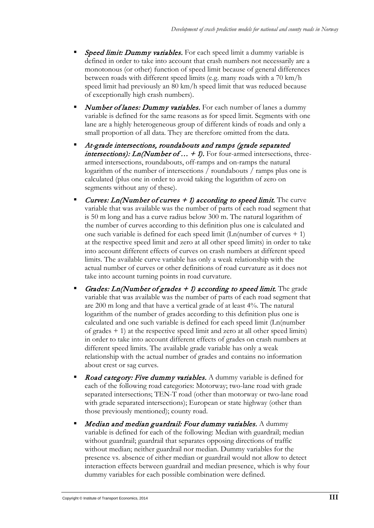- Speed limit: Dummy variables. For each speed limit a dummy variable is defined in order to take into account that crash numbers not necessarily are a monotonous (or other) function of speed limit because of general differences between roads with different speed limits (e.g. many roads with a 70 km/h speed limit had previously an 80 km/h speed limit that was reduced because of exceptionally high crash numbers).
- Number of lanes: Dummy variables. For each number of lanes a dummy variable is defined for the same reasons as for speed limit. Segments with one lane are a highly heterogeneous group of different kinds of roads and only a small proportion of all data. They are therefore omitted from the data.
- At-grade intersections, roundabouts and ramps (grade separated intersections): Ln(Number of  $\dots$  + 1). For four-armed intersections, threearmed intersections, roundabouts, off-ramps and on-ramps the natural logarithm of the number of intersections / roundabouts / ramps plus one is calculated (plus one in order to avoid taking the logarithm of zero on segments without any of these).
- *Curves: Ln*(Number of curves  $+1$ ) according to speed limit. The curve variable that was available was the number of parts of each road segment that is 50 m long and has a curve radius below 300 m. The natural logarithm of the number of curves according to this definition plus one is calculated and one such variable is defined for each speed limit  $(Ln(number of curves + 1))$ at the respective speed limit and zero at all other speed limits) in order to take into account different effects of curves on crash numbers at different speed limits. The available curve variable has only a weak relationship with the actual number of curves or other definitions of road curvature as it does not take into account turning points in road curvature.
- Grades: Ln(Number of grades  $+1$ ) according to speed limit. The grade variable that was available was the number of parts of each road segment that are 200 m long and that have a vertical grade of at least 4%. The natural logarithm of the number of grades according to this definition plus one is calculated and one such variable is defined for each speed limit (Ln(number of grades + 1) at the respective speed limit and zero at all other speed limits) in order to take into account different effects of grades on crash numbers at different speed limits. The available grade variable has only a weak relationship with the actual number of grades and contains no information about crest or sag curves.
- **Road category: Five dummy variables.** A dummy variable is defined for each of the following road categories: Motorway; two-lane road with grade separated intersections; TEN-T road (other than motorway or two-lane road with grade separated intersections); European or state highway (other than those previously mentioned); county road.
- Median and median guardrail: Four dummy variables. A dummy variable is defined for each of the following: Median with guardrail; median without guardrail; guardrail that separates opposing directions of traffic without median; neither guardrail nor median. Dummy variables for the presence vs. absence of either median or guardrail would not allow to detect interaction effects between guardrail and median presence, which is why four dummy variables for each possible combination were defined.